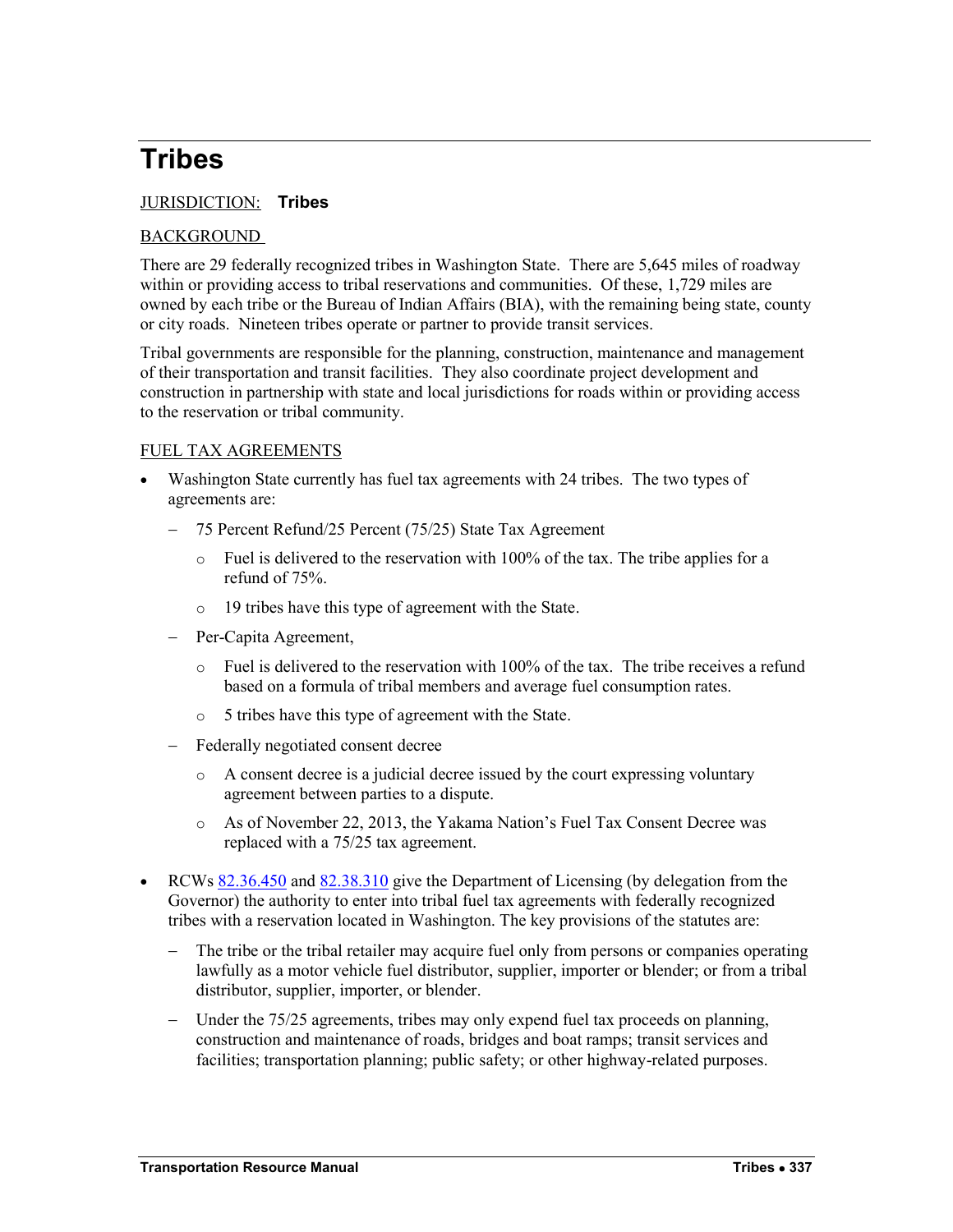# **Tribes**

## JURISDICTION: **Tribes**

#### BACKGROUND

There are 29 federally recognized tribes in Washington State. There are 5,645 miles of roadway within or providing access to tribal reservations and communities. Of these, 1,729 miles are owned by each tribe or the Bureau of Indian Affairs (BIA), with the remaining being state, county or city roads. Nineteen tribes operate or partner to provide transit services.

Tribal governments are responsible for the planning, construction, maintenance and management of their transportation and transit facilities. They also coordinate project development and construction in partnership with state and local jurisdictions for roads within or providing access to the reservation or tribal community.

#### FUEL TAX AGREEMENTS

- Washington State currently has fuel tax agreements with 24 tribes. The two types of agreements are:
	- 75 Percent Refund/25 Percent (75/25) State Tax Agreement
		- $\circ$  Fuel is delivered to the reservation with 100% of the tax. The tribe applies for a refund of 75%.
		- o 19 tribes have this type of agreement with the State.
	- Per-Capita Agreement,
		- $\circ$  Fuel is delivered to the reservation with 100% of the tax. The tribe receives a refund based on a formula of tribal members and average fuel consumption rates.
		- o 5 tribes have this type of agreement with the State.
	- Federally negotiated consent decree
		- o A consent decree is a judicial decree issued by the court expressing voluntary agreement between parties to a dispute.
		- o As of November 22, 2013, the Yakama Nation's Fuel Tax Consent Decree was replaced with a 75/25 tax agreement.
- RCWs  $82.36.450$  and  $82.38.310$  give the Department of Licensing (by delegation from the Governor) the authority to enter into tribal fuel tax agreements with federally recognized tribes with a reservation located in Washington. The key provisions of the statutes are:
	- The tribe or the tribal retailer may acquire fuel only from persons or companies operating lawfully as a motor vehicle fuel distributor, supplier, importer or blender; or from a tribal distributor, supplier, importer, or blender.
	- Under the 75/25 agreements, tribes may only expend fuel tax proceeds on planning, construction and maintenance of roads, bridges and boat ramps; transit services and facilities; transportation planning; public safety; or other highway-related purposes.